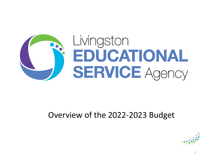

#### Overview of the 2022-2023 Budget

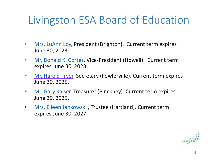## [Livingston](mailto:kaiser3@charter.net) ESA Board of Education

- Mrs. LuAnn Loy, President (Brighton). Current term expires June 30, 2023.
- Mr. Donald K. Cortez, Vice-President (Howell). Current term expires June 30, 2023.
- Mr. Harold Fryer, Secretary (Fowlerville). Current term expires June 30, 2025.
- Mr. Gary Kaiser, Treasurer (Pinckney). Current term expires June 30, 2025.
- Mrs. Eileen Jankowski , Trustee (Hartland). Current term expires June 30, 2027.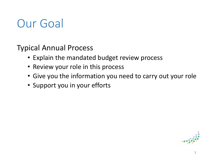# Our Goal

Typical Annual Process

- Explain the mandated budget review process
- Review your role in this process
- Give you the information you need to carry out your role
- Support you in your efforts

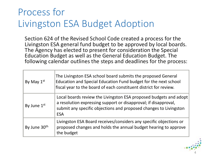#### Process for Livingston ESA Budget Adoption

Section 624 of the Revised School Code created a process for the Livingston ESA general fund budget to be approved by local boards. The Agency has elected to present for consideration the Special Education Budget as well as the General Education Budget. The following calendar outlines the steps and deadlines for the process:

| By May $1st$             | The Livingston ESA school board submits the proposed General<br>Education and Special Education Fund budget for the next school<br>fiscal year to the board of each constituent district for review.                    |
|--------------------------|-------------------------------------------------------------------------------------------------------------------------------------------------------------------------------------------------------------------------|
| By June 1st              | Local boards review the Livingston ESA proposed budgets and adopt<br>a resolution expressing support or disapproval; if disapproval,<br>submit any specific objections and proposed changes to Livingston<br><b>ESA</b> |
| By June 30 <sup>th</sup> | Livingston ESA Board receives/considers any specific objections or<br>proposed changes and holds the annual budget hearing to approve<br>the budget                                                                     |

4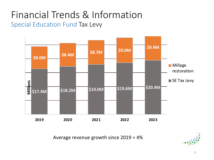#### Financial Trends & Information Special Education Fund Tax Levy



Average revenue growth since 2019 = 4%

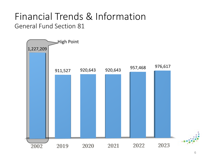#### Financial Trends & Information General Fund Section 81

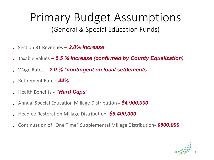#### Primary Budget Assumptions (General & Special Education Funds)

- Section 81 Revenues *– 2.0% increase*
- Taxable Values *– 5.5 % Increase (confirmed by County Equalization)*
- Wage Rates *– 2.0 % \*contingent on local settlements*
- Retirement Rate *- 44%*
- Health Benefits *- "Hard Caps"*
- Annual Special Education Millage Distribution *- \$4,900,000*
- Headlee Restoration Millage Distribution- *\$9,400,000*
- Continuation of "One Time" Supplemental Millage Distribution- *\$500,000*

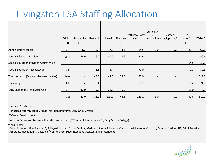### Livingston ESA Staffing Allocation

|                                            |            |                          |                          |                          |                          |                          | Curriculum               |                             |                          |               |
|--------------------------------------------|------------|--------------------------|--------------------------|--------------------------|--------------------------|--------------------------|--------------------------|-----------------------------|--------------------------|---------------|
|                                            |            |                          |                          |                          |                          | Pathway/Early            | &                        | Career                      | Ed.                      |               |
|                                            |            | Brighton   Fowlerville   | Hartland                 | Howell                   | Pinckney                 | $On^*$                   |                          | Instruction   Development** | Center***                | <b>TOTALS</b> |
|                                            | <b>FTE</b> | <b>FTE</b>               | <b>FTE</b>               | <b>FTE</b>               | <b>FTE</b>               | <b>FTE</b>               | <b>FTE</b>               | FTE                         | <b>FTE</b>               | <b>FTE</b>    |
| Administrative offices                     | 6.0        | 1.7                      | 2.4                      | 7.6                      | 4.2                      | 14.5                     | 3.0                      | 9.0                         | 20.7                     | 69.1          |
| Special Education Provider                 | 28.4       | 14.6                     | 26.7                     | 34.7                     | 11.6                     | 24.6                     | $\overline{\phantom{a}}$ | $\overline{\phantom{a}}$    | $\overline{\phantom{a}}$ | 140.6         |
| Special Education Provider- County Wide    |            | $\overline{\phantom{a}}$ | $\overline{\phantom{a}}$ | $\sim$                   | $\overline{\phantom{a}}$ | $\overline{\phantom{a}}$ | $\overline{\phantom{a}}$ | $\overline{\phantom{a}}$    | 14.5                     | 14.5          |
| Special Education Teacher/Aide             | 1.3        | $\overline{\phantom{a}}$ | 1.6                      | 5.4                      | $\overline{\phantom{0}}$ | 79.0                     | $\overline{\phantom{a}}$ | $\overline{\phantom{a}}$    | 2.0                      | 89.3          |
| Transportation (Drivers, Mechanics, Aides) | 29.0       | $\overline{\phantom{a}}$ | 43.0                     | 47.0                     | 22.0                     | 70.0                     | $\overline{\phantom{a}}$ | $\overline{\phantom{a}}$    | $\overline{\phantom{a}}$ | 211.0         |
|                                            |            |                          |                          |                          |                          |                          |                          |                             |                          |               |
| Technology                                 | 3.1        | 3.7                      | 0.4                      | $\overline{\phantom{a}}$ | $\overline{\phantom{a}}$ | 1.0                      | $\overline{\phantom{a}}$ | $\overline{\phantom{a}}$    | 1.4                      | 9.6           |
| Early Childhood (Head Start, GSRP)         | 6.0        | 12.0                     | 9.0                      | 33.0                     | 6.0                      | $\overline{\phantom{a}}$ | $\overline{\phantom{a}}$ | $\overline{\phantom{0}}$    | 12.0                     | 78.0          |
|                                            | 73.8       | 32.0                     | 83.1                     | 127.7                    | 43.8                     | 189.1                    | 3.0                      | 9.0                         | 50.6                     | 612.1         |

\*Pathway/ Early On:

Includes Pathway school, Adult Transition programs, Early-On (0-3 years)

\*\*Career Development:

Includes Career and Technical Education consortium (CTE, Adult Ed, Alternative Ed, Early Middle College)

\*\*\*Ed Center:

Administrative offices include: A/P, Payroll, Student Count Auditor, Medicaid, Special Education Compliance Monitoring/Support, Communications, HR, Administrative Assistants, Receptionist, Custodial/Maintenance, Superintendent, Assistant Superintendents

8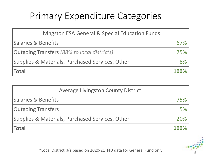## Primary Expenditure Categories

| Livingston ESA General & Special Education Funds |      |  |  |
|--------------------------------------------------|------|--|--|
| <b>Salaries &amp; Benefits</b>                   | 6/%  |  |  |
| Outgoing Transfers (88% to local districts)      | 25%  |  |  |
| Supplies & Materials, Purchased Services, Other  | 8%   |  |  |
| <b>Total</b>                                     | 100% |  |  |

| <b>Average Livingston County District</b>       |             |
|-------------------------------------------------|-------------|
| <b>Salaries &amp; Benefits</b>                  |             |
| <b>Outgoing Transfers</b>                       | <b>5%</b>   |
| Supplies & Materials, Purchased Services, Other | 20%         |
| <b>Total</b>                                    | <b>100%</b> |

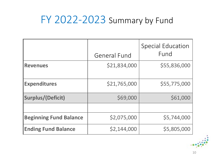## FY 2022-2023 Summary by Fund

|                               | <b>General Fund</b> | <b>Special Education</b><br>Fund |
|-------------------------------|---------------------|----------------------------------|
| <b>Revenues</b>               | \$21,834,000        | \$55,836,000                     |
| <b>Expenditures</b>           | \$21,765,000        | \$55,775,000                     |
| <b>Surplus/(Deficit)</b>      | \$69,000            | \$61,000                         |
|                               |                     |                                  |
| <b>Beginning Fund Balance</b> | \$2,075,000         | \$5,744,000                      |
| <b>Ending Fund Balance</b>    | \$2,144,000         | \$5,805,000                      |

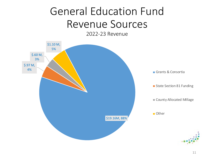# General Education Fund Revenue Sources

2022-23 Revenue

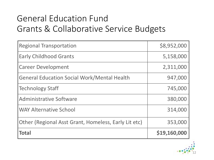#### General Education Fund Grants & Collaborative Service Budgets

| <b>Regional Transportation</b>                              | \$8,952,000  |
|-------------------------------------------------------------|--------------|
| <b>Early Childhood Grants</b>                               | 5,158,000    |
| <b>Career Development</b>                                   | 2,311,000    |
| <b>General Education Social Work/Mental Health</b>          | 947,000      |
| Technology Staff                                            | 745,000      |
| <b>Administrative Software</b>                              | 380,000      |
| <b>WAY Alternative School</b>                               | 314,000      |
| <b>Other (Regional Asst Grant, Homeless, Early Lit etc)</b> | 353,000      |
| <b>Total</b>                                                | \$19,160,000 |

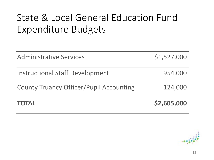## State & Local General Education Fund Expenditure Budgets

| Administrative Services                 | \$1,527,000 |
|-----------------------------------------|-------------|
| <b>Instructional Staff Development</b>  | 954,000     |
| County Truancy Officer/Pupil Accounting | 124,000     |
| <b>ITOTAL</b>                           | \$2,605,000 |

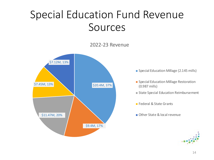## Special Education Fund Revenue Sources

#### 2022-23 Revenue



- **Special Education Millage (2.145 mills)**
- **Special Education Millage Restoration** (0.987 mills)
- **State Special Education Reimbursement**
- **Federal & State Grants**
- Other State & local revenue

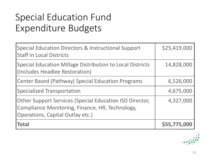## Special Education Fund Expenditure Budgets

| <b>Special Education Directors &amp; Instructional Support</b><br><b>Staff in Local Districts</b>                                                     | \$25,419,000 |
|-------------------------------------------------------------------------------------------------------------------------------------------------------|--------------|
| <b>Special Education Millage Distribution to Local Districts</b><br>(Includes Headlee Restoration)                                                    | 14,828,000   |
| <b>Center Based (Pathway) Special Education Programs</b>                                                                                              | 6,526,000    |
| <b>Specialized Transportation</b>                                                                                                                     | 4,675,000    |
| <b>Other Support Services (Special Education ISD Director,</b><br>Compliance Monitoring, Finance, HR, Technology,<br>Operations, Capital Outlay etc.) | 4,327,000    |
| <b>Total</b>                                                                                                                                          | \$55,775,000 |